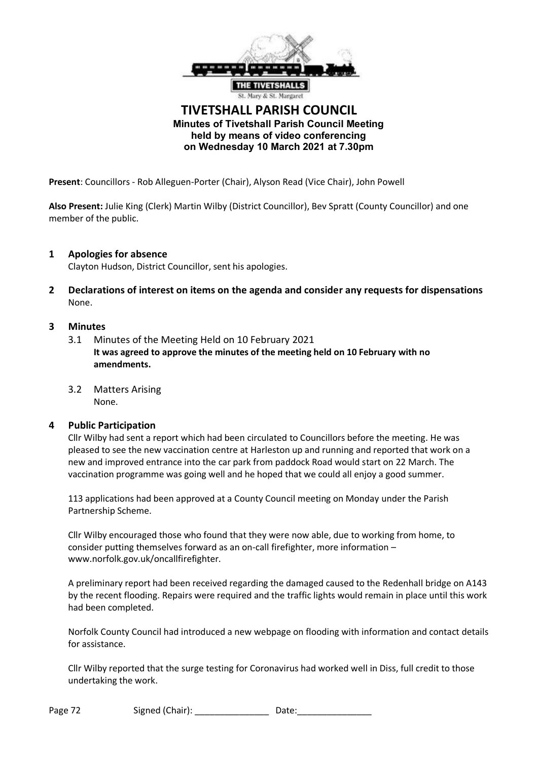

# **TIVETSHALL PARISH COUNCIL Minutes of Tivetshall Parish Council Meeting held by means of video conferencing on Wednesday 10 March 2021 at 7.30pm**

**Present**: Councillors - Rob Alleguen-Porter (Chair), Alyson Read (Vice Chair), John Powell

**Also Present:** Julie King (Clerk) Martin Wilby (District Councillor), Bev Spratt (County Councillor) and one member of the public.

## **1 Apologies for absence**

Clayton Hudson, District Councillor, sent his apologies.

**2 Declarations of interest on items on the agenda and consider any requests for dispensations** None.

#### **3 Minutes**

- 3.1 Minutes of the Meeting Held on 10 February 2021 **It was agreed to approve the minutes of the meeting held on 10 February with no amendments.**
- 3.2 Matters Arising None.

#### **4 Public Participation**

Cllr Wilby had sent a report which had been circulated to Councillors before the meeting. He was pleased to see the new vaccination centre at Harleston up and running and reported that work on a new and improved entrance into the car park from paddock Road would start on 22 March. The vaccination programme was going well and he hoped that we could all enjoy a good summer.

113 applications had been approved at a County Council meeting on Monday under the Parish Partnership Scheme.

Cllr Wilby encouraged those who found that they were now able, due to working from home, to consider putting themselves forward as an on-call firefighter, more information – www.norfolk.gov.uk/oncallfirefighter.

A preliminary report had been received regarding the damaged caused to the Redenhall bridge on A143 by the recent flooding. Repairs were required and the traffic lights would remain in place until this work had been completed.

Norfolk County Council had introduced a new webpage on flooding with information and contact details for assistance.

Cllr Wilby reported that the surge testing for Coronavirus had worked well in Diss, full credit to those undertaking the work.

| Page 72 | Signed (Chair): | Date: |
|---------|-----------------|-------|
|---------|-----------------|-------|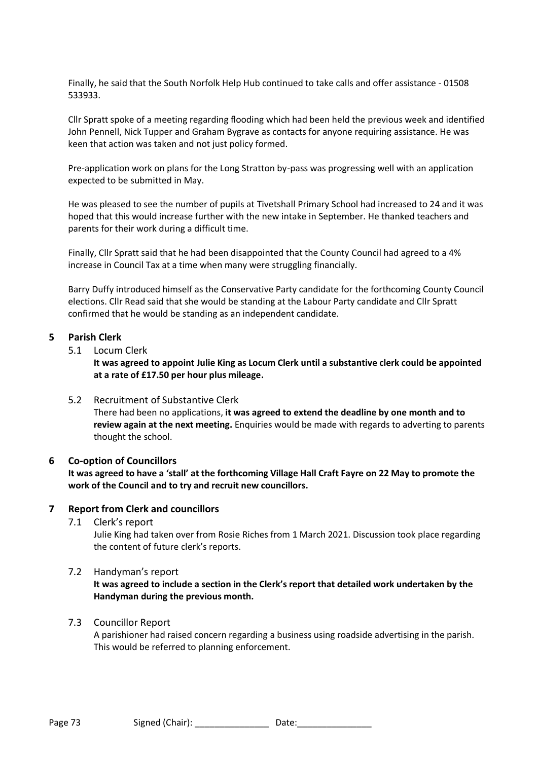Finally, he said that the South Norfolk Help Hub continued to take calls and offer assistance - 01508 533933.

Cllr Spratt spoke of a meeting regarding flooding which had been held the previous week and identified John Pennell, Nick Tupper and Graham Bygrave as contacts for anyone requiring assistance. He was keen that action was taken and not just policy formed.

Pre-application work on plans for the Long Stratton by-pass was progressing well with an application expected to be submitted in May.

He was pleased to see the number of pupils at Tivetshall Primary School had increased to 24 and it was hoped that this would increase further with the new intake in September. He thanked teachers and parents for their work during a difficult time.

Finally, Cllr Spratt said that he had been disappointed that the County Council had agreed to a 4% increase in Council Tax at a time when many were struggling financially.

Barry Duffy introduced himself as the Conservative Party candidate for the forthcoming County Council elections. Cllr Read said that she would be standing at the Labour Party candidate and Cllr Spratt confirmed that he would be standing as an independent candidate.

# **5 Parish Clerk**

5.1 Locum Clerk

**It was agreed to appoint Julie King as Locum Clerk until a substantive clerk could be appointed at a rate of £17.50 per hour plus mileage.**

5.2 Recruitment of Substantive Clerk

There had been no applications, **it was agreed to extend the deadline by one month and to review again at the next meeting.** Enquiries would be made with regards to adverting to parents thought the school.

# **6 Co-option of Councillors**

**It was agreed to have a 'stall' at the forthcoming Village Hall Craft Fayre on 22 May to promote the work of the Council and to try and recruit new councillors.**

# **7 Report from Clerk and councillors**

7.1 Clerk's report

Julie King had taken over from Rosie Riches from 1 March 2021. Discussion took place regarding the content of future clerk's reports.

# 7.2 Handyman's report

**It was agreed to include a section in the Clerk's report that detailed work undertaken by the Handyman during the previous month.**

#### 7.3 Councillor Report

A parishioner had raised concern regarding a business using roadside advertising in the parish. This would be referred to planning enforcement.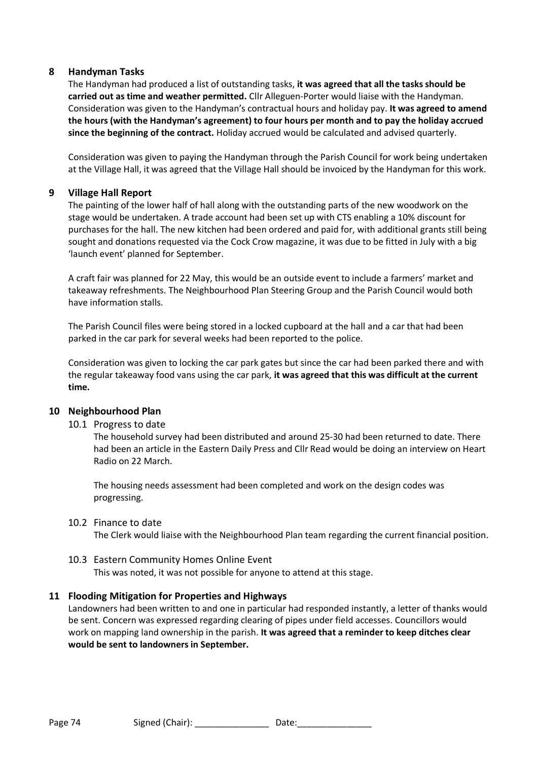# **8 Handyman Tasks**

The Handyman had produced a list of outstanding tasks, **it was agreed that all the tasks should be carried out as time and weather permitted.** Cllr Alleguen-Porter would liaise with the Handyman. Consideration was given to the Handyman's contractual hours and holiday pay. **It was agreed to amend the hours (with the Handyman's agreement) to four hours per month and to pay the holiday accrued since the beginning of the contract.** Holiday accrued would be calculated and advised quarterly.

Consideration was given to paying the Handyman through the Parish Council for work being undertaken at the Village Hall, it was agreed that the Village Hall should be invoiced by the Handyman for this work.

# **9 Village Hall Report**

The painting of the lower half of hall along with the outstanding parts of the new woodwork on the stage would be undertaken. A trade account had been set up with CTS enabling a 10% discount for purchases for the hall. The new kitchen had been ordered and paid for, with additional grants still being sought and donations requested via the Cock Crow magazine, it was due to be fitted in July with a big 'launch event' planned for September.

A craft fair was planned for 22 May, this would be an outside event to include a farmers' market and takeaway refreshments. The Neighbourhood Plan Steering Group and the Parish Council would both have information stalls.

The Parish Council files were being stored in a locked cupboard at the hall and a car that had been parked in the car park for several weeks had been reported to the police.

Consideration was given to locking the car park gates but since the car had been parked there and with the regular takeaway food vans using the car park, **it was agreed that this was difficult at the current time.**

# **10 Neighbourhood Plan**

10.1 Progress to date

The household survey had been distributed and around 25-30 had been returned to date. There had been an article in the Eastern Daily Press and Cllr Read would be doing an interview on Heart Radio on 22 March.

The housing needs assessment had been completed and work on the design codes was progressing.

10.2 Finance to date

The Clerk would liaise with the Neighbourhood Plan team regarding the current financial position.

# 10.3 Eastern Community Homes Online Event

This was noted, it was not possible for anyone to attend at this stage.

# **11 Flooding Mitigation for Properties and Highways**

Landowners had been written to and one in particular had responded instantly, a letter of thanks would be sent. Concern was expressed regarding clearing of pipes under field accesses. Councillors would work on mapping land ownership in the parish. **It was agreed that a reminder to keep ditches clear would be sent to landowners in September.**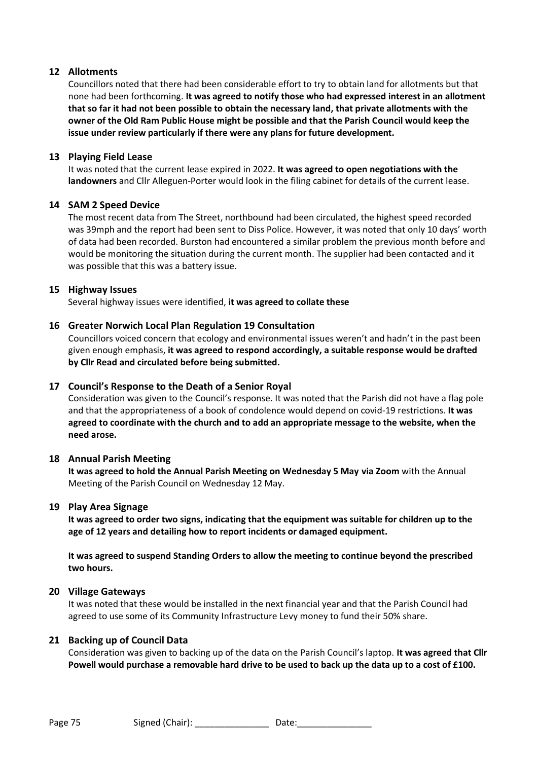# **12 Allotments**

Councillors noted that there had been considerable effort to try to obtain land for allotments but that none had been forthcoming. **It was agreed to notify those who had expressed interest in an allotment that so far it had not been possible to obtain the necessary land, that private allotments with the owner of the Old Ram Public House might be possible and that the Parish Council would keep the issue under review particularly if there were any plans for future development.**

### **13 Playing Field Lease**

It was noted that the current lease expired in 2022. **It was agreed to open negotiations with the landowners** and Cllr Alleguen-Porter would look in the filing cabinet for details of the current lease.

## **14 SAM 2 Speed Device**

The most recent data from The Street, northbound had been circulated, the highest speed recorded was 39mph and the report had been sent to Diss Police. However, it was noted that only 10 days' worth of data had been recorded. Burston had encountered a similar problem the previous month before and would be monitoring the situation during the current month. The supplier had been contacted and it was possible that this was a battery issue.

## **15 Highway Issues**

Several highway issues were identified, **it was agreed to collate these**

## **16 Greater Norwich Local Plan Regulation 19 Consultation**

Councillors voiced concern that ecology and environmental issues weren't and hadn't in the past been given enough emphasis, **it was agreed to respond accordingly, a suitable response would be drafted by Cllr Read and circulated before being submitted.** 

# **17 Council's Response to the Death of a Senior Royal**

Consideration was given to the Council's response. It was noted that the Parish did not have a flag pole and that the appropriateness of a book of condolence would depend on covid-19 restrictions. **It was agreed to coordinate with the church and to add an appropriate message to the website, when the need arose.**

## **18 Annual Parish Meeting**

**It was agreed to hold the Annual Parish Meeting on Wednesday 5 May via Zoom** with the Annual Meeting of the Parish Council on Wednesday 12 May.

#### **19 Play Area Signage**

**It was agreed to order two signs, indicating that the equipment was suitable for children up to the age of 12 years and detailing how to report incidents or damaged equipment.** 

**It was agreed to suspend Standing Orders to allow the meeting to continue beyond the prescribed two hours.**

#### **20 Village Gateways**

It was noted that these would be installed in the next financial year and that the Parish Council had agreed to use some of its Community Infrastructure Levy money to fund their 50% share.

#### **21 Backing up of Council Data**

Consideration was given to backing up of the data on the Parish Council's laptop. **It was agreed that Cllr Powell would purchase a removable hard drive to be used to back up the data up to a cost of £100.**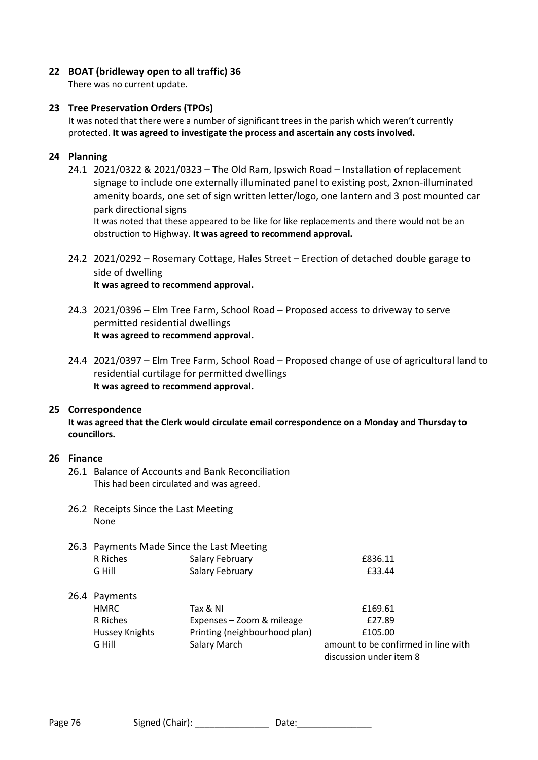# **22 BOAT (bridleway open to all traffic) 36**

There was no current update.

# **23 Tree Preservation Orders (TPOs)**

It was noted that there were a number of significant trees in the parish which weren't currently protected. **It was agreed to investigate the process and ascertain any costs involved.**

## **24 Planning**

24.1 2021/0322 & 2021/0323 – The Old Ram, Ipswich Road – Installation of replacement signage to include one externally illuminated panel to existing post, 2xnon-illuminated amenity boards, one set of sign written letter/logo, one lantern and 3 post mounted car park directional signs

It was noted that these appeared to be like for like replacements and there would not be an obstruction to Highway. **It was agreed to recommend approval.**

- 24.2 2021/0292 Rosemary Cottage, Hales Street Erection of detached double garage to side of dwelling **It was agreed to recommend approval.**
- 24.3 2021/0396 Elm Tree Farm, School Road Proposed access to driveway to serve permitted residential dwellings **It was agreed to recommend approval.**
- 24.4 2021/0397 Elm Tree Farm, School Road Proposed change of use of agricultural land to residential curtilage for permitted dwellings **It was agreed to recommend approval.**

#### **25 Correspondence**

**It was agreed that the Clerk would circulate email correspondence on a Monday and Thursday to councillors.**

## **26 Finance**

- 26.1 Balance of Accounts and Bank Reconciliation This had been circulated and was agreed.
- 26.2 Receipts Since the Last Meeting None

# 26.3 Payments Made Since the Last Meeting

| R Riches              | <b>Salary February</b>        | £836.11                             |
|-----------------------|-------------------------------|-------------------------------------|
| G Hill                | Salary February               | £33.44                              |
| 26.4 Payments         |                               |                                     |
| <b>HMRC</b>           | Tax & NI                      | £169.61                             |
| R Riches              | Expenses - Zoom & mileage     | £27.89                              |
| <b>Hussey Knights</b> | Printing (neighbourhood plan) | £105.00                             |
| G Hill                | <b>Salary March</b>           | amount to be confirmed in line with |
|                       |                               | discussion under item 8             |